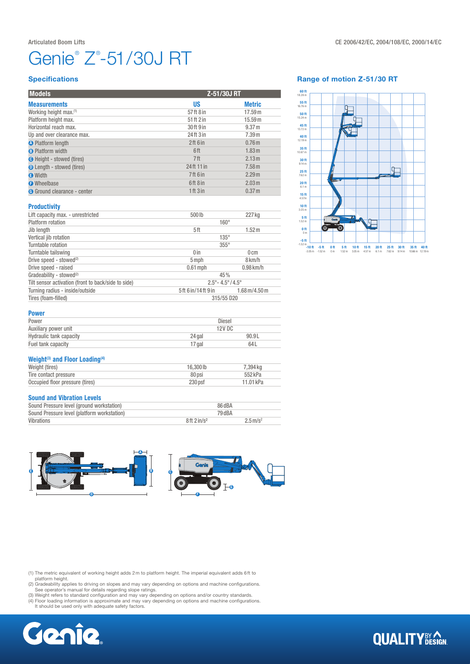# Genie® Z® -51/30J RT

### **Specifications**

| <b>Models</b>                      |             | Z-51/30J RT       |  |
|------------------------------------|-------------|-------------------|--|
| <b>Measurements</b>                | US          | <b>Metric</b>     |  |
| Working height max. <sup>(1)</sup> | 57 ft 8 in  | 17.59 m           |  |
| Platform height max.               | 51 ft 2 in  | 15.59 m           |  |
| Horizontal reach max.              | 30 ft 9 in  | 9.37 m            |  |
| Up and over clearance max.         | 24ft 3 in   | 7.39 m            |  |
| <b>A</b> Platform length           | 2ft 6in     | 0.76 <sub>m</sub> |  |
| <b>B</b> Platform width            | 6ft         | 1.83 m            |  |
| <b>O</b> Height - stowed (tires)   | 7ft         | 2.13 m            |  |
| <b>O</b> Length - stowed (tires)   | 24 ft 11 in | 7.58 m            |  |
| <b>O</b> Width                     | 7ft 6 in    | 2.29 m            |  |
| <b>O</b> Wheelbase                 | 6ft 8 in    | 2.03 m            |  |
| <b>G</b> Ground clearance - center | 1 ft 3 in   | 0.37 <sub>m</sub> |  |

#### Range of motion Z-51/30 RT



#### **Productivity**

| Lift capacity max. - unrestricted                   | 500lb                                   | 227 kg                                |  |
|-----------------------------------------------------|-----------------------------------------|---------------------------------------|--|
|                                                     |                                         |                                       |  |
| Platform rotation                                   | $160^\circ$                             |                                       |  |
| Jib length                                          | 5ft                                     | 1.52 m                                |  |
| Vertical jib rotation                               | $135^\circ$                             |                                       |  |
| Turntable rotation                                  | $355^\circ$                             |                                       |  |
| Turntable tailswing                                 | 0 <sub>in</sub>                         | $0 \, \mathrm{cm}$                    |  |
| Drive speed - stowed <sup>(2)</sup>                 | 5 mph                                   | 8 km/h                                |  |
| Drive speed - raised                                | $0.61$ mph                              | $0.98$ km/h                           |  |
| Gradeability - stowed <sup>(2)</sup>                | 45%                                     |                                       |  |
| Tilt sensor activation (front to back/side to side) | $2.5^{\circ} - 4.5^{\circ}/4.5^{\circ}$ |                                       |  |
| Turning radius - inside/outside                     | 5ft 6 in/14ft 9 in                      | $1.68 \,\mathrm{m}/4.50 \,\mathrm{m}$ |  |
| Tires (foam-filled)                                 | 315/55 D20                              |                                       |  |

| Diesel |       |
|--------|-------|
| 12V DC |       |
| 24 gal | 90.9L |
| 17 gal | 64 L  |
|        |       |

## Weight<sup>(3)</sup> and Floor Loading<sup>(4)</sup>

| Weight (tires)                  | 16,300 lb | 7.394 ka  |
|---------------------------------|-----------|-----------|
| Tire contact pressure           | 80 psi    | 552 kPa   |
| Occupied floor pressure (tires) | 230 psf   | 11.01 kPa |

#### Sound and Vibration Levels

| Sound Pressure level (ground workstation)   | 86 dBA            |                        |
|---------------------------------------------|-------------------|------------------------|
| Sound Pressure level (platform workstation) | 79 dBA            |                        |
| Vibrations                                  | $8ft$ 2 in/ $s^2$ | $2.5 \,\mathrm{m/s^2}$ |



(1) The metric equivalent of working height adds 2m to platform height. The imperial equivalent adds 6ft to

platform height.<br>
(2) Gradeability applies to driving on slopes and may vary depending on options and machine configurations.<br>
(3) Weight refers to standard configuration and may vary depending on options and/or country st